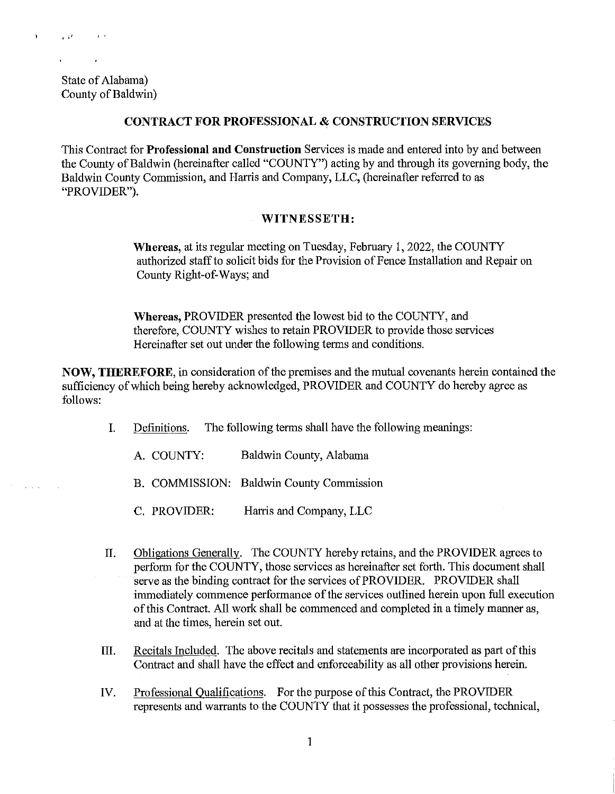State of Alabama) County of Baldwin)

 $\overline{\mathcal{O}}^{(1)}$  ,  $\overline{\mathcal{O}}^{(2)}$ 

 $\mathbf{r}$ 

 $\sim 100$  km  $^{-1}$ 

## **CONTRACT FOR PROFESSIONAL & CONSTRUCTION SERVICES**

This Contract for **Professional and Construction** Services is made and entered into by and between the County of Baldwin (hereinafter called "COUNTY") acting by and through its governing body, the Baldwin County Commission, and Harris and Company, LLC, (hereinafter referred to as "PROVIDER").

## **WITNESSETH:**

**Whereas,** at its regular meeting on Tuesday, February 1, 2022, the COUNTY authorized staff to solicit bids for the Provision of Fence Installation and Repair on County Right-of-Ways; and

**Whereas,** PROVIDER presented the lowest bid to the COUNTY, and therefore, COUNTY wishes to retain PROVIDER to provide those services Hereinafter set out under the following terms and conditions.

**NOW, THEREFORE,** in consideration of the premises and the mutual covenants herein contained the sufficiency of which being hereby acknowledged, PROVIDER and COUNTY do hereby agree as follows:

- I. Definitions. The following terms shall have the following meanings:
	- A. COUNTY: Baldwin County, Alabama
	- B. COMMISSION: Baldwin County Commission
	- C. PROVIDER: Harris and Company, LLC
- II. Obligations Generally. The COUNTY hereby retains, and the PROVIDER agrees to perform for the COUNTY, those services as hereinafter set forth. This document shall serve as the binding contract for the services of PROVIDER. PROVIDER shall immediately commence performance of the services outlined herein upon full execution of this Contract. All work shall be commenced and completed in a timely manner as, and at the times, herein set out.
- III. Recitals Included. The above recitals and statements are incorporated as part of this Contract and shall have the effect and enforceability as all other provisions herein.
- IV. Professional Qualifications. For the purpose of this Contract, the PROVIDER represents and warrants to the COUNTY that it possesses the professional, technical,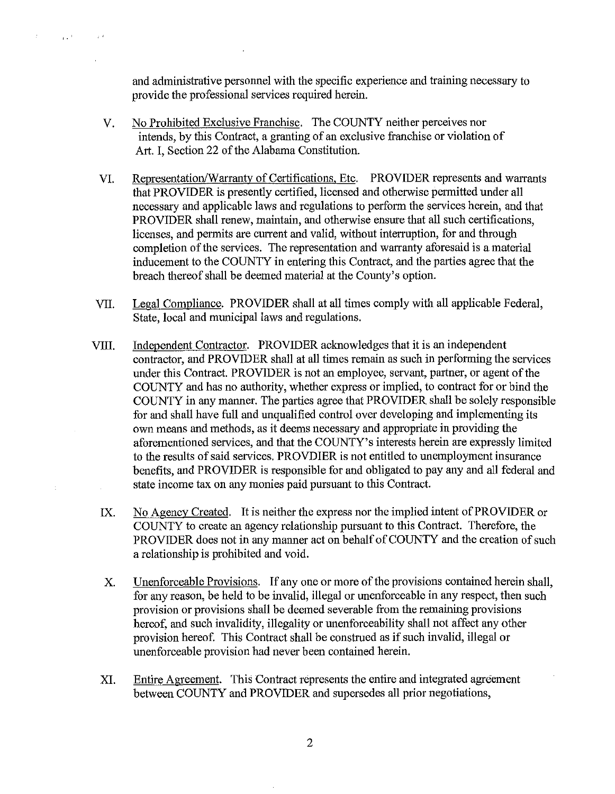and administrative personnel with the specific experience and training necessary to provide the professional services required herein.

V. No Prohibited Exclusive Franchise. The COUNTY neither perceives nor intends, by this Contract, a granting of an exclusive franchise or violation of Art. I, Section 22 of the Alabama Constitution.

 $\mathcal{L}$ 

 $\alpha$  ,  $\beta$  ,  $\beta$ 

 $\sim$   $\mu$   $\beta$ 

- VI. Representation/Warranty of Certifications, Etc. PROVIDER represents and warrants that PROVIDER is presently certified, licensed and otherwise permitted under all necessary and applicable laws and regulations to perform the services herein, and that PROVIDER shall renew, maintain, and otherwise ensure that all such certifications, licenses, and permits are current and valid, without interruption, for and through completion of the services. The representation and warranty aforesaid is a material inducement to the COUNTY in entering this Contract, and the parties agree that the breach thereof shall be deemed material at the County's option.
- VII. Legal Compliance. PROVIDER shall at all times comply with all applicable Federal, State, local and municipal laws and regulations.
- VIII. Independent Contractor. PROVIDER acknowledges that it is an independent contractor, and PROVIDER shall at all times remain as such in performing the services under this Contract. PROVIDER is not an employee, servant, partner, or agent of the COUNTY and has no authority, whether express or implied, to contract for or bind the COUNTY in any manner. The parties agree that PROVIDER shall be solely responsible for and shall have full and unqualified control over developing and implementing its own means and methods, as it deems necessary and appropriate in providing the aforementioned services, and that the COUNTY's interests herein are expressly limited to the results of said services. PROVDIER is not entitled to unemployment insurance benefits, and PROVIDER is responsible for and obligated to pay any and all federal and state income tax on any monies paid pursuant to this Contract.
	- IX. No Agency Created. It is neither the express nor the implied intent of PROVIDER or COUNTY to create an agency relationship pursuant to this Contract. Therefore, the PROVIDER does not in any manner act on behalf of COUNTY and the creation of such a relationship is prohibited and void.
	- X. Unenforceable Provisions. If any one or more of the provisions contained herein shall, for any reason, be held to be invalid, illegal or unenforceable in any respect, then such provision or provisions shall be deemed severable from the remaining provisions hereof, and such invalidity, illegality or unenforceability shall not affect any other provision hereof. This Contract shall be construed as if such invalid, illegal or unenforceable provision had never been contained herein.
	- XI. Entire Agreement. This Contract represents the entire and integrated agreement between COUNTY and PROVIDER and supersedes all prior negotiations,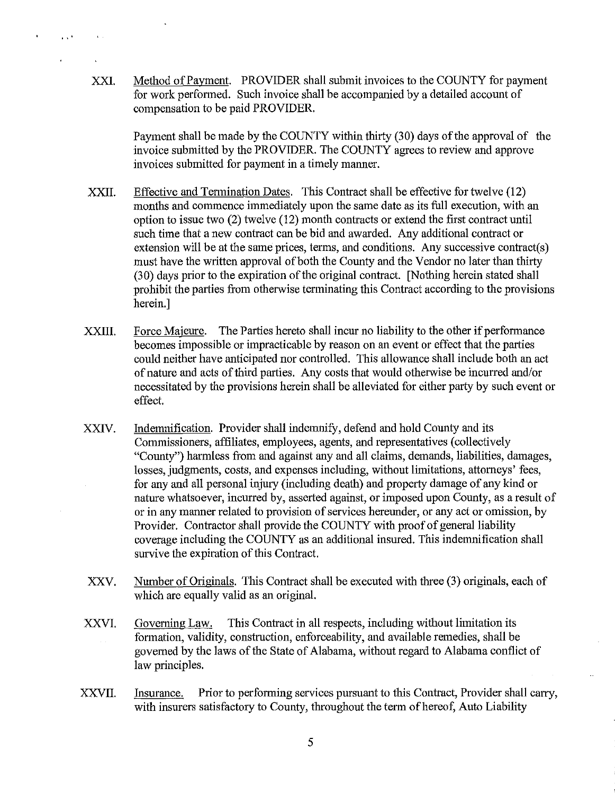XXI. Method of Payment. PROVIDER shall submit invoices to the COUNTY for payment for work perfonned. Such invoice shall be accompanied by a detailed account of compensation to be paid PROVIDER.

 $\sim 10^4$ 

**Contractor** 

Payment shall be made by the COUNTY within thirty (30) days of the approval of the invoice submitted by the PROVIDER. The COUNTY agrees to review and approve invoices submitted for payment in a timely manner.

- XXII. Effective and Termination Dates. This Contract shall be effective for twelve (12) months and commence immediately upon the same date as its full execution, with an option to issue two (2) twelve (12) month contracts or extend the first contract until such time that a new contract can be bid and awarded. Any additional contract or extension will be at the same prices, terms, and conditions. Any successive contract(s) must have the written approval of both the County and the Vendor no later than thirty (30) days prior to the expiration of the original contract. [Nothing herein stated shall prohibit the parties from otherwise terminating this Contract according to the provisions herein.]
- XXIII. Force Majeure. The Parties hereto shall incur no liability to the other if performance becomes impossible or impracticable by reason on an event or effect that the parties could neither have anticipated nor controlled. This allowance shall include both an act of nature and acts of third parties. Any costs that would otherwise be incurred and/or necessitated by the provisions herein shall be alleviated for either party by such event or effect.
- XXIV. Indemnification. Provider shall indemnify, defend and hold County and its Commissioners, affiliates, employees, agents, and representatives (collectively "County") harmless from and against any and all claims, demands, liabilities, damages, losses, judgments, costs, and expenses including, without limitations, attorneys' fees, for any and all personal injury (including death) and property damage of any kind or nature whatsoever, incurred by, asserted against, or imposed upon County, as a result of or in any manner related to provision of services hereunder, or any act or omission, by Provider. Contractor shall provide the COUNTY with proof of general liability coverage including the COUNTY as an additional insured. This indemnification shall survive the expiration of this Contract.
- XXV. Number of Originals. This Contract shall be executed with three (3) originals, each of which are equally valid as an original.
- XXVI. Governing Law. This Contract in all respects, including without limitation its formation, validity, construction, enforceability, and available remedies, shall be governed by the laws of the State of Alabama, without regard to Alabama conflict of law principles.
- XXVII. Insurance. Prior to performing services pursuant to this Contract, Provider shall carry, with insurers satisfactory to County, throughout the term of hereof, Auto Liability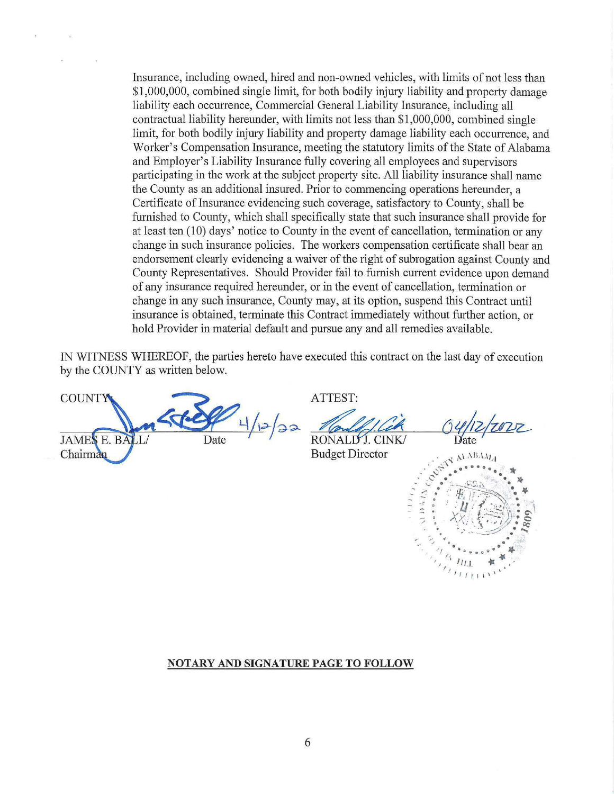Insurance, including owned, hired and non-owned vehicles, with limits of not less than \$1,000,000, combined single limit, for both bodily injury liability and property damage liability each occunence, Commercial General Liability Insurance, including all contractual liability hereunder, with limits not less than \$1,000,000, combined single limit, for both bodily injury liability and property damage liability each occurrence, and Worker's Compensation Insurance, meeting the statutory limits of the State of Alabama and Employer's Liability Insurance fully covering all employees and supervisors participating in the work at the subject property site. All liability insurance shall name the County as an additional insured. Prior to commencing operations hereunder, a Certificate of Insurance evidencing such coverage, satisfactory to County, shall be furnished to County, which shall specifically state that such insurance shall provide for at least ten (10) days' notice to County in the event of cancellation, termination or any change in such insurance policies. The workers compensation certificate shall bear an endorsement clearly evidencing a waiver of the right of subrogation against County and County Representatives. Should Provider fail to furnish current evidence upon demand of any insurance required hereunder, or in the event of cancellation, termination or change in any such insurance, County may, at its option, suspend this Contract until insurance is obtained, terminate this Contract immediately without further action, or hold Provider in material default and pursue any and all remedies available.

IN WITNESS WHEREOF, the parties hereto have executed this contract on the last day of execution by the COUNTY as written below.

**COUNTY JAMES E. BALL** Date Chairman

ATTEST:

TTEST:<br>*Vandaff.Cek* 

RONALD'J. CINK/<br>Budget Director

Date.



## **NOTARY AND SIGNATURE PAGE TO FOLLOW**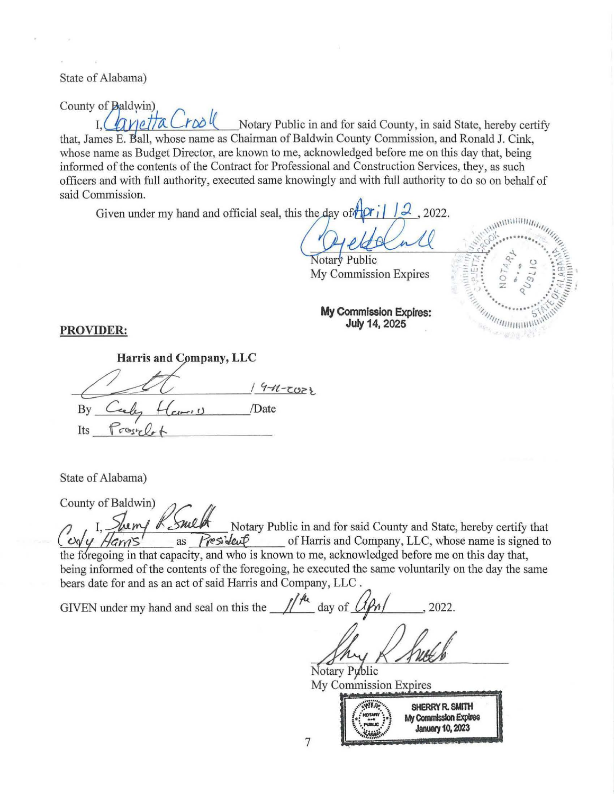State of Alabama)

County of Baldwin)  $\int \mathcal{U} \left( \int \mathcal{U} \right) dV$  Notary Public in and for said County, in said State, hereby certify that, James E. Ball, whose name as Chairman of Baldwin County Commission, and Ronald J. Cink, whose name as Budget Director, are known to me, acknowledged before me on this day that, being informed of the contents of the Contract for Professional and Construction Services, they, as such officers and with full authority, executed same knowingly and with full authority to do so on behalf of said Commission.

Given under my hand and official seal, this the day of  $\frac{d}{dx}$   $\left| \right|$  $2022.$ 

Notary Public My Commission Expires



**My Commission Expires: July 14, 2025** 

**PROVIDER:** 

SUIDER:<br>Harris and Company, LLC<br>3y Ceeles Herris Date **Harris and Company, LLC**  $19 - 11 - 2023$  $\n By  $\overline{C}$  (eventually  $H_{\text{Carnus}}$  /Date$  $Its _{F}{\scriptstyle \alpha}$  regular

State of Alabama)

County of Baldwin)  $\frac{\mathcal{H}}{\mathcal{H}}$  Notary Public in and for said County and State, hereby certify that as  $\frac{\mathcal{H}}{\mathcal{H}}$  of Harris and Company, LLC, whose name is signed to of Harris and Company, LLC, whose name is signed to the foregoing in that capacity, and who is known to me, acknowledged before me on this day that, being informed of the contents of the foregoing, he executed the same voluntarily on the day the same bears date for and as an act of said Harris and Company, LLC.

GIVEN under my hand and seal on this the  $\frac{1}{4}$  day of  $\frac{1}{4}$ , 2022.

Notary Public My Commission Expires